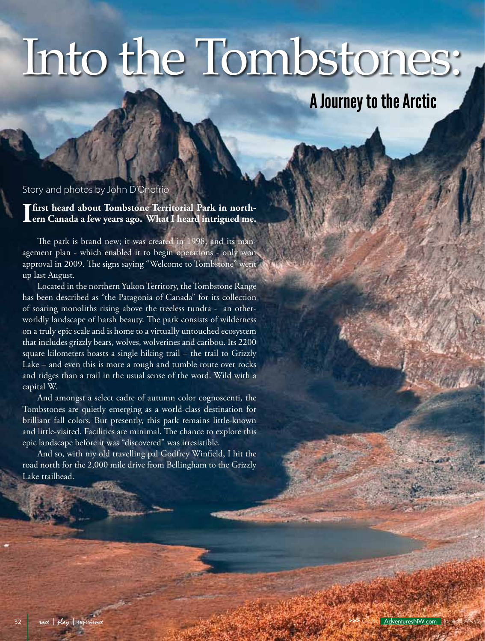# Into the Tombstones:

## A Journey to the Arctic

#### Story and photos by John D'Onofrio

**I first heard about Tombstone Territorial Park in northern Canada a few years ago. What I heard intrigued me.**

The park is brand new; it was created in 1998, and its management plan - which enabled it to begin operations - only won approval in 2009. The signs saying "Welcome to Tombstone" went up last August.

Located in the northern Yukon Territory, the Tombstone Range has been described as "the Patagonia of Canada" for its collection of soaring monoliths rising above the treeless tundra - an otherworldly landscape of harsh beauty. The park consists of wilderness on a truly epic scale and is home to a virtually untouched ecosystem that includes grizzly bears, wolves, wolverines and caribou. Its 2200 square kilometers boasts a single hiking trail – the trail to Grizzly Lake – and even this is more a rough and tumble route over rocks and ridges than a trail in the usual sense of the word. Wild with a capital W.

And amongst a select cadre of autumn color cognoscenti, the Tombstones are quietly emerging as a world-class destination for brilliant fall colors. But presently, this park remains little-known and little-visited. Facilities are minimal. The chance to explore this epic landscape before it was "discovered" was irresistible.

And so, with my old travelling pal Godfrey Winfield, I hit the road north for the 2,000 mile drive from Bellingham to the Grizzly Lake trailhead.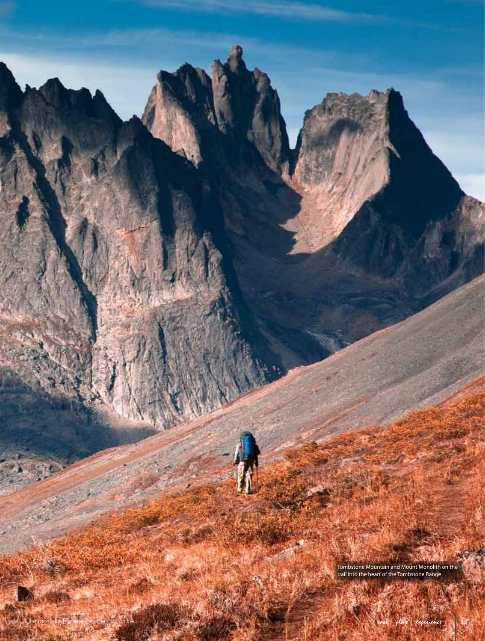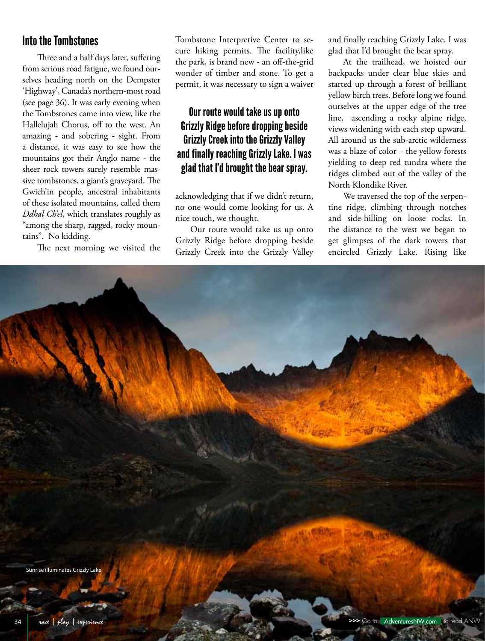### Into the Tombstones

Three and a half days later, suffering from serious road fatigue, we found ourselves heading north on the Dempster 'Highway', Canada's northern-most road (see page 36). It was early evening when the Tombstones came into view, like the Hallelujah Chorus, off to the west. An amazing - and sobering - sight. From a distance, it was easy to see how the mountains got their Anglo name - the sheer rock towers surely resemble massive tombstones, a giant's graveyard. The Gwich'in people, ancestral inhabitants of these isolated mountains, called them *Ddhal Ch'el*, which translates roughly as "among the sharp, ragged, rocky mountains". No kidding.

The next morning we visited the

Tombstone Interpretive Center to secure hiking permits. The facility,like the park, is brand new - an off-the-grid wonder of timber and stone. To get a permit, it was necessary to sign a waiver

#### Our route would take us up onto Grizzly Ridge before dropping beside Grizzly Creek into the Grizzly Valley and finally reaching Grizzly Lake. I was glad that I'd brought the bear spray.

acknowledging that if we didn't return, no one would come looking for us. A nice touch, we thought.

Our route would take us up onto Grizzly Ridge before dropping beside Grizzly Creek into the Grizzly Valley

and finally reaching Grizzly Lake. I was glad that I'd brought the bear spray.

At the trailhead, we hoisted our backpacks under clear blue skies and started up through a forest of brilliant yellow birch trees. Before long we found ourselves at the upper edge of the tree line, ascending a rocky alpine ridge, views widening with each step upward. All around us the sub-arctic wilderness was a blaze of color – the yellow forests yielding to deep red tundra where the ridges climbed out of the valley of the North Klondike River.

We traversed the top of the serpentine ridge, climbing through notches and side-hilling on loose rocks. In the distance to the west we began to get glimpses of the dark towers that encircled Grizzly Lake. Rising like

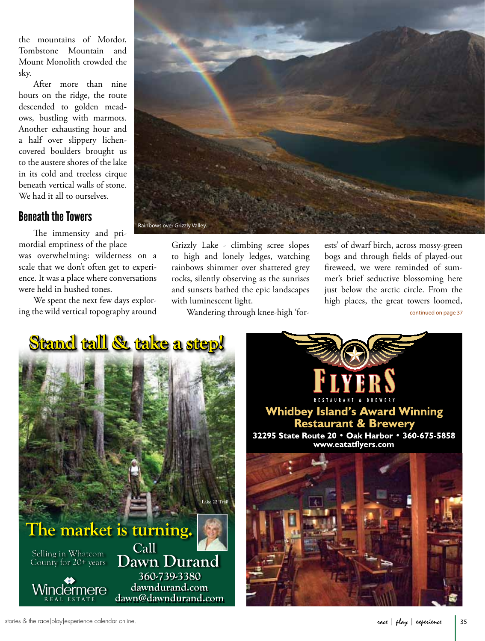the mountains of Mordor, Tombstone Mountain and Mount Monolith crowded the sky.

After more than nine hours on the ridge, the route descended to golden meadows, bustling with marmots. Another exhausting hour and a half over slippery lichencovered boulders brought us to the austere shores of the lake in its cold and treeless cirque beneath vertical walls of stone. We had it all to ourselves.

### Beneath the Towers

The immensity and primordial emptiness of the place was overwhelming: wilderness on a scale that we don't often get to experience. It was a place where conversations were held in hushed tones.

We spent the next few days exploring the wild vertical topography around



Grizzly Lake - climbing scree slopes to high and lonely ledges, watching rainbows shimmer over shattered grey rocks, silently observing as the sunrises and sunsets bathed the epic landscapes with luminescent light.

Wandering through knee-high 'for-

ests' of dwarf birch, across mossy-green bogs and through fields of played-out fireweed, we were reminded of summer's brief seductive blossoming here just below the arctic circle. From the high places, the great towers loomed,

continued on page 37



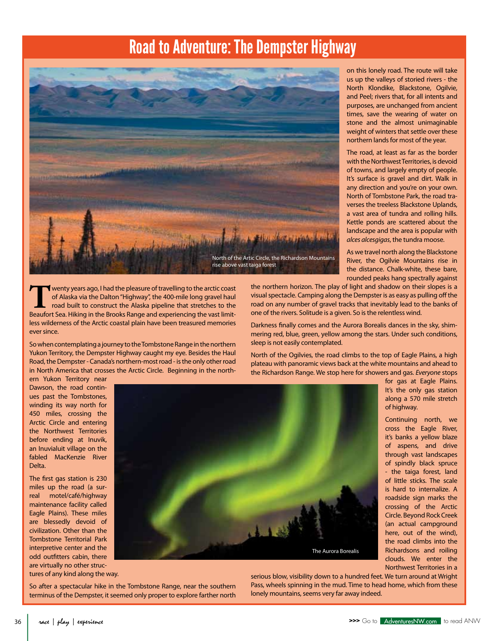## Road to Adventure: The Dempster Highway



**T**wenty years ago, I had the pleasure of travelling to the arctic coast of Alaska via the Dalton "Highway", the 400-mile long gravel haul road built to construct the Alaska pipeline that stretches to the Beaufort Sea. Hiking in the Brooks Range and experiencing the vast limitless wilderness of the Arctic coastal plain have been treasured memories ever since.

So when contemplating a journey to the Tombstone Range in the northern Yukon Territory, the Dempster Highway caught my eye. Besides the Haul Road, the Dempster - Canada's northern-most road - is the only other road in North America that crosses the Arctic Circle. Beginning in the north-

on this lonely road. The route will take us up the valleys of storied rivers - the North Klondike, Blackstone, Ogilvie, and Peel; rivers that, for all intents and purposes, are unchanged from ancient times, save the wearing of water on stone and the almost unimaginable weight of winters that settle over these northern lands for most of the year.

The road, at least as far as the border with the Northwest Territories, is devoid of towns, and largely empty of people. It's surface is gravel and dirt. Walk in any direction and you're on your own. North of Tombstone Park, the road traverses the treeless Blackstone Uplands, a vast area of tundra and rolling hills. Kettle ponds are scattered about the landscape and the area is popular with *alces alcesgigas*, the tundra moose.

As we travel north along the Blackstone River, the Ogilvie Mountains rise in the distance. Chalk-white, these bare, rounded peaks hang spectrally against

> for gas at Eagle Plains. It's the only gas station along a 570 mile stretch

> Continuing north, we cross the Eagle River, it's banks a yellow blaze of aspens, and drive through vast landscapes of spindly black spruce - the taiga forest, land of little sticks. The scale is hard to internalize. A roadside sign marks the crossing of the Arctic Circle. Beyond Rock Creek (an actual campground here, out of the wind), the road climbs into the Richardsons and roiling clouds. We enter the Northwest Territories in a

of highway.

the northern horizon. The play of light and shadow on their slopes is a visual spectacle. Camping along the Dempster is as easy as pulling off the road on any number of gravel tracks that inevitably lead to the banks of one of the rivers. Solitude is a given. So is the relentless wind.

Darkness finally comes and the Aurora Borealis dances in the sky, shimmering red, blue, green, yellow among the stars. Under such conditions, sleep is not easily contemplated.

North of the Ogilvies, the road climbs to the top of Eagle Plains, a high plateau with panoramic views back at the white mountains and ahead to the Richardson Range. We stop here for showers and gas. *Everyone* stops

ern Yukon Territory near Dawson, the road continues past the Tombstones, winding its way north for 450 miles, crossing the Arctic Circle and entering the Northwest Territories before ending at Inuvik, an Inuvialuit village on the fabled MacKenzie River Delta.

The first gas station is 230 miles up the road (a surreal motel/café/highway maintenance facility called Eagle Plains). These miles are blessedly devoid of civilization. Other than the Tombstone Territorial Park interpretive center and the odd outfitters cabin, there are virtually no other struc-

tures of any kind along the way.



So after a spectacular hike in the Tombstone Range, near the southern terminus of the Dempster, it seemed only proper to explore farther north

serious blow, visibility down to a hundred feet. We turn around at Wright Pass, wheels spinning in the mud. Time to head home, which from these lonely mountains, seems very far away indeed.